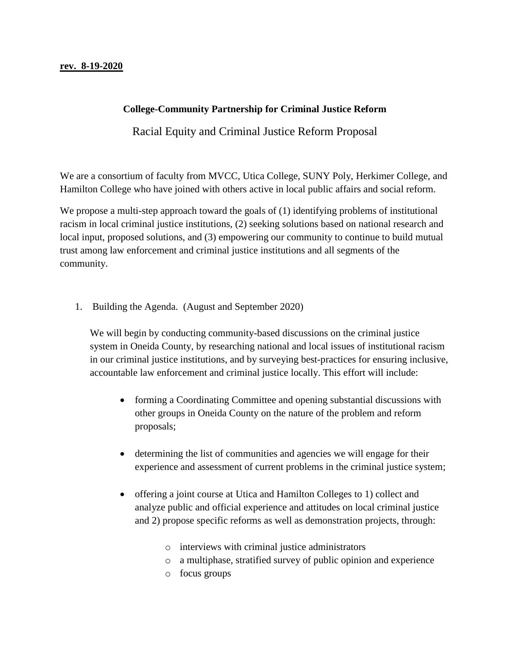## **College-Community Partnership for Criminal Justice Reform**

Racial Equity and Criminal Justice Reform Proposal

We are a consortium of faculty from MVCC, Utica College, SUNY Poly, Herkimer College, and Hamilton College who have joined with others active in local public affairs and social reform.

We propose a multi-step approach toward the goals of (1) identifying problems of institutional racism in local criminal justice institutions, (2) seeking solutions based on national research and local input, proposed solutions, and (3) empowering our community to continue to build mutual trust among law enforcement and criminal justice institutions and all segments of the community.

1. Building the Agenda. (August and September 2020)

We will begin by conducting community-based discussions on the criminal justice system in Oneida County, by researching national and local issues of institutional racism in our criminal justice institutions, and by surveying best-practices for ensuring inclusive, accountable law enforcement and criminal justice locally. This effort will include:

- forming a Coordinating Committee and opening substantial discussions with other groups in Oneida County on the nature of the problem and reform proposals;
- determining the list of communities and agencies we will engage for their experience and assessment of current problems in the criminal justice system;
- offering a joint course at Utica and Hamilton Colleges to 1) collect and analyze public and official experience and attitudes on local criminal justice and 2) propose specific reforms as well as demonstration projects, through:
	- o interviews with criminal justice administrators
	- o a multiphase, stratified survey of public opinion and experience
	- o focus groups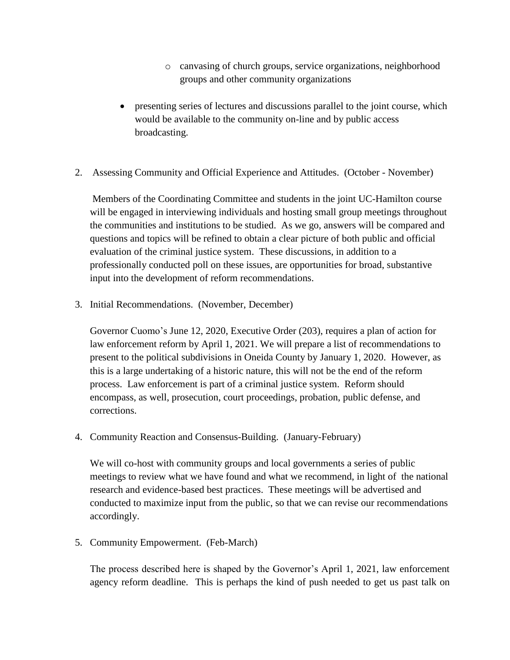- o canvasing of church groups, service organizations, neighborhood groups and other community organizations
- presenting series of lectures and discussions parallel to the joint course, which would be available to the community on-line and by public access broadcasting.
- 2. Assessing Community and Official Experience and Attitudes. (October November)

Members of the Coordinating Committee and students in the joint UC-Hamilton course will be engaged in interviewing individuals and hosting small group meetings throughout the communities and institutions to be studied. As we go, answers will be compared and questions and topics will be refined to obtain a clear picture of both public and official evaluation of the criminal justice system. These discussions, in addition to a professionally conducted poll on these issues, are opportunities for broad, substantive input into the development of reform recommendations.

3. Initial Recommendations. (November, December)

Governor Cuomo's June 12, 2020, Executive Order (203), requires a plan of action for law enforcement reform by April 1, 2021. We will prepare a list of recommendations to present to the political subdivisions in Oneida County by January 1, 2020. However, as this is a large undertaking of a historic nature, this will not be the end of the reform process. Law enforcement is part of a criminal justice system. Reform should encompass, as well, prosecution, court proceedings, probation, public defense, and corrections.

4. Community Reaction and Consensus-Building. (January-February)

We will co-host with community groups and local governments a series of public meetings to review what we have found and what we recommend, in light of the national research and evidence-based best practices. These meetings will be advertised and conducted to maximize input from the public, so that we can revise our recommendations accordingly.

5. Community Empowerment. (Feb-March)

The process described here is shaped by the Governor's April 1, 2021, law enforcement agency reform deadline. This is perhaps the kind of push needed to get us past talk on